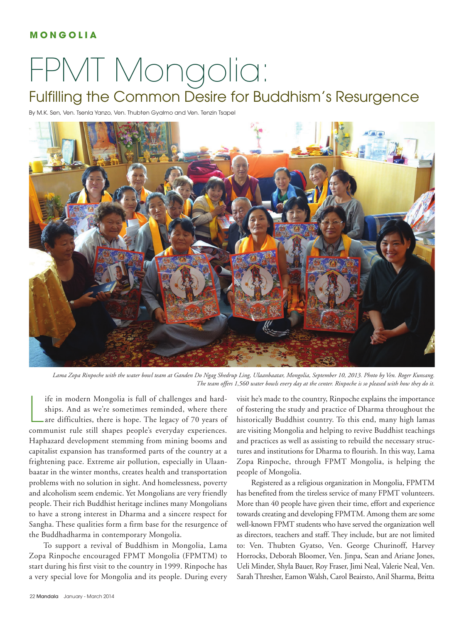## **M O N G O L I A**

## FPMT Mongolia:

## Fulfilling the Common Desire for Buddhism's Resurgence

By M.K. Sen, Ven. Tsenla Yanzo, Ven. Thubten Gyalmo and Ven. Tenzin Tsapel



*Lama Zopa Rinpoche with the water bowl team at Ganden Do Ngag Shedrup Ling, Ulaanbaatar, Mongolia, September 10, 2013. Photo by Ven. Roger Kunsang. The team offers 1,560 water bowls every day at the center. Rinpoche is so pleased with how they do it.*

Ife in modern Mongolia is full of challenges and hard-<br>ships. And as we're sometimes reminded, where there<br>are difficulties, there is hope. The legacy of 70 years of<br>communist rule still shapes people's everyday experience ife in modern Mongolia is full of challenges and hardships. And as we're sometimes reminded, where there are difficulties, there is hope. The legacy of 70 years of Haphazard development stemming from mining booms and capitalist expansion has transformed parts of the country at a frightening pace. Extreme air pollution, especially in Ulaanbaatar in the winter months, creates health and transportation problems with no solution in sight. And homelessness, poverty and alcoholism seem endemic. Yet Mongolians are very friendly people. Their rich Buddhist heritage inclines many Mongolians to have a strong interest in Dharma and a sincere respect for Sangha. These qualities form a firm base for the resurgence of the Buddhadharma in contemporary Mongolia.

To support a revival of Buddhism in Mongolia, Lama Zopa Rinpoche encouraged FPMT Mongolia (FPMTM) to start during his first visit to the country in 1999. Rinpoche has a very special love for Mongolia and its people. During every visit he's made to the country, Rinpoche explains the importance of fostering the study and practice of Dharma throughout the historically Buddhist country. To this end, many high lamas are visiting Mongolia and helping to revive Buddhist teachings and practices as well as assisting to rebuild the necessary structures and institutions for Dharma to flourish. In this way, Lama Zopa Rinpoche, through FPMT Mongolia, is helping the people of Mongolia.

Registered as a religious organization in Mongolia, FPMTM has benefited from the tireless service of many FPMT volunteers. More than 40 people have given their time, effort and experience towards creating and developing FPMTM. Among them are some well-known FPMT students who have served the organization well as directors, teachers and staff. They include, but are not limited to: Ven. Thubten Gyatso, Ven. George Churinoff, Harvey Horrocks, Deborah Bloomer, Ven. Jinpa, Sean and Ariane Jones, Ueli Minder, Shyla Bauer, Roy Fraser, Jimi Neal, Valerie Neal, Ven. Sarah Thresher, Eamon Walsh, Carol Beairsto, Anil Sharma, Britta